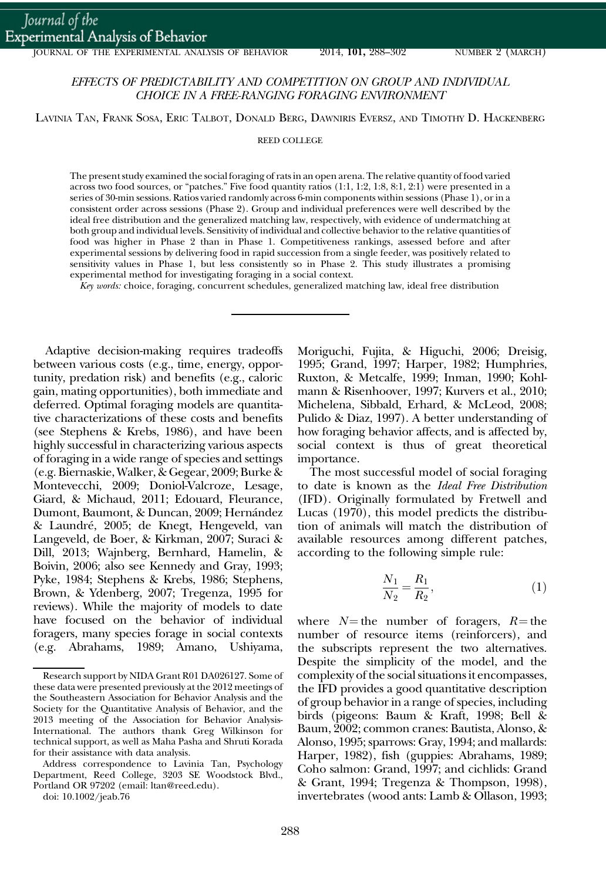JOURNAL OF THE EXPERIMENTAL ANALYSIS OF BEHAVIOR 2014, 101, 288–302 NUMBER 2 (MARCH)

# EFFECTS OF PREDICTABILITY AND COMPETITION ON GROUP AND INDIVIDUAL CHOICE IN A FREE-RANGING FORAGING ENVIRONMENT

LAVINIA TAN, FRANK SOSA, ERIC TALBOT, DONALD BERG, DAWNIRIS EVERSZ, AND TIMOTHY D. HACKENBERG

### REED COLLEGE

The present study examined the social foraging of rats in an open arena. The relative quantity of food varied across two food sources, or "patches." Five food quantity ratios (1:1, 1:2, 1:8, 8:1, 2:1) were presented in a series of 30-min sessions. Ratios varied randomly across 6-min components within sessions (Phase 1), or in a consistent order across sessions (Phase 2). Group and individual preferences were well described by the ideal free distribution and the generalized matching law, respectively, with evidence of undermatching at both group and individual levels. Sensitivity of individual and collective behavior to the relative quantities of food was higher in Phase 2 than in Phase 1. Competitiveness rankings, assessed before and after experimental sessions by delivering food in rapid succession from a single feeder, was positively related to sensitivity values in Phase 1, but less consistently so in Phase 2. This study illustrates a promising experimental method for investigating foraging in a social context.

Key words: choice, foraging, concurrent schedules, generalized matching law, ideal free distribution

Adaptive decision-making requires tradeoffs between various costs (e.g., time, energy, opportunity, predation risk) and benefits (e.g., caloric gain, mating opportunities), both immediate and deferred. Optimal foraging models are quantitative characterizations of these costs and benefits (see Stephens & Krebs, 1986), and have been highly successful in characterizing various aspects of foraging in a wide range of species and settings (e.g. Biernaskie, Walker, & Gegear, 2009; Burke & Montevecchi, 2009; Doniol-Valcroze, Lesage, Giard, & Michaud, 2011; Edouard, Fleurance, Dumont, Baumont, & Duncan, 2009; Hernández & Laundré, 2005; de Knegt, Hengeveld, van Langeveld, de Boer, & Kirkman, 2007; Suraci & Dill, 2013; Wajnberg, Bernhard, Hamelin, & Boivin, 2006; also see Kennedy and Gray, 1993; Pyke, 1984; Stephens & Krebs, 1986; Stephens, Brown, & Ydenberg, 2007; Tregenza, 1995 for reviews). While the majority of models to date have focused on the behavior of individual foragers, many species forage in social contexts (e.g. Abrahams, 1989; Amano, Ushiyama,

doi: 10.1002/jeab.76

Moriguchi, Fujita, & Higuchi, 2006; Dreisig, 1995; Grand, 1997; Harper, 1982; Humphries, Ruxton, & Metcalfe, 1999; Inman, 1990; Kohlmann & Risenhoover, 1997; Kurvers et al., 2010; Michelena, Sibbald, Erhard, & McLeod, 2008; Pulido & Diaz, 1997). A better understanding of how foraging behavior affects, and is affected by, social context is thus of great theoretical importance.

The most successful model of social foraging to date is known as the Ideal Free Distribution (IFD). Originally formulated by Fretwell and Lucas (1970), this model predicts the distribution of animals will match the distribution of available resources among different patches, according to the following simple rule:

$$
\frac{N_1}{N_2} = \frac{R_1}{R_2},\tag{1}
$$

where  $N =$  the number of foragers,  $R =$  the number of resource items (reinforcers), and the subscripts represent the two alternatives. Despite the simplicity of the model, and the complexity of the social situations it encompasses, the IFD provides a good quantitative description of group behavior in a range of species, including birds (pigeons: Baum & Kraft, 1998; Bell & Baum, 2002; common cranes: Bautista, Alonso, & Alonso, 1995; sparrows: Gray, 1994; and mallards: Harper, 1982), fish (guppies: Abrahams, 1989; Coho salmon: Grand, 1997; and cichlids: Grand & Grant, 1994; Tregenza & Thompson, 1998), invertebrates (wood ants: Lamb & Ollason, 1993;

Research support by NIDA Grant R01 DA026127. Some of these data were presented previously at the 2012 meetings of the Southeastern Association for Behavior Analysis and the Society for the Quantitative Analysis of Behavior, and the 2013 meeting of the Association for Behavior Analysis-International. The authors thank Greg Wilkinson for technical support, as well as Maha Pasha and Shruti Korada for their assistance with data analysis.

Address correspondence to Lavinia Tan, Psychology Department, Reed College, 3203 SE Woodstock Blvd., Portland OR 97202 (email: ltan@reed.edu).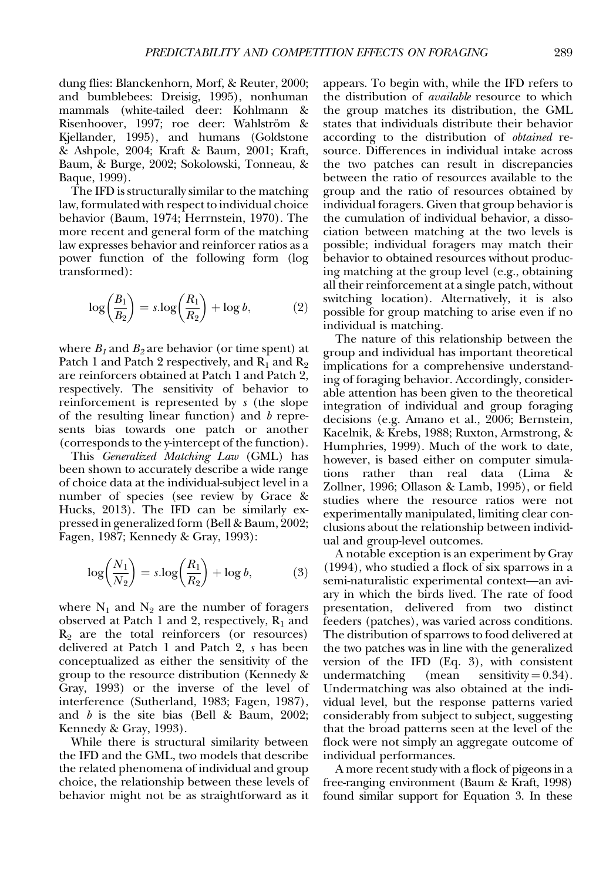dung flies: Blanckenhorn, Morf, & Reuter, 2000; and bumblebees: Dreisig, 1995), nonhuman mammals (white-tailed deer: Kohlmann & Risenhoover, 1997; roe deer: Wahlström & Kjellander, 1995), and humans (Goldstone & Ashpole, 2004; Kraft & Baum, 2001; Kraft, Baum, & Burge, 2002; Sokolowski, Tonneau, & Baque, 1999).

The IFD is structurally similar to the matching law, formulated with respect to individual choice behavior (Baum, 1974; Herrnstein, 1970). The more recent and general form of the matching law expresses behavior and reinforcer ratios as a power function of the following form (log transformed):

$$
\log\left(\frac{B_1}{B_2}\right) = s.\log\left(\frac{R_1}{R_2}\right) + \log b,\tag{2}
$$

where  $B_1$  and  $B_2$  are behavior (or time spent) at Patch 1 and Patch 2 respectively, and  $R_1$  and  $R_2$ are reinforcers obtained at Patch 1 and Patch 2, respectively. The sensitivity of behavior to reinforcement is represented by s (the slope of the resulting linear function) and  $b$  represents bias towards one patch or another (corresponds to the y-intercept of the function).

This Generalized Matching Law (GML) has been shown to accurately describe a wide range of choice data at the individual-subject level in a number of species (see review by Grace & Hucks, 2013). The IFD can be similarly expressed in generalized form (Bell & Baum, 2002; Fagen, 1987; Kennedy & Gray, 1993):

$$
\log\left(\frac{N_1}{N_2}\right) = s.\log\left(\frac{R_1}{R_2}\right) + \log b,\tag{3}
$$

where  $N_1$  and  $N_2$  are the number of foragers observed at Patch 1 and 2, respectively,  $R_1$  and  $R_2$  are the total reinforcers (or resources) delivered at Patch 1 and Patch 2, s has been conceptualized as either the sensitivity of the group to the resource distribution (Kennedy & Gray, 1993) or the inverse of the level of interference (Sutherland, 1983; Fagen, 1987), and b is the site bias (Bell & Baum, 2002; Kennedy & Gray, 1993).

While there is structural similarity between the IFD and the GML, two models that describe the related phenomena of individual and group choice, the relationship between these levels of behavior might not be as straightforward as it appears. To begin with, while the IFD refers to the distribution of available resource to which the group matches its distribution, the GML states that individuals distribute their behavior according to the distribution of obtained resource. Differences in individual intake across the two patches can result in discrepancies between the ratio of resources available to the group and the ratio of resources obtained by individual foragers. Given that group behavior is the cumulation of individual behavior, a dissociation between matching at the two levels is possible; individual foragers may match their behavior to obtained resources without producing matching at the group level (e.g., obtaining all their reinforcement at a single patch, without switching location). Alternatively, it is also possible for group matching to arise even if no individual is matching.

The nature of this relationship between the group and individual has important theoretical implications for a comprehensive understanding of foraging behavior. Accordingly, considerable attention has been given to the theoretical integration of individual and group foraging decisions (e.g. Amano et al., 2006; Bernstein, Kacelnik, & Krebs, 1988; Ruxton, Armstrong, & Humphries, 1999). Much of the work to date, however, is based either on computer simulations rather than real data (Lima & Zollner, 1996; Ollason & Lamb, 1995), or field studies where the resource ratios were not experimentally manipulated, limiting clear conclusions about the relationship between individual and group-level outcomes.

A notable exception is an experiment by Gray (1994), who studied a flock of six sparrows in a semi-naturalistic experimental context—an aviary in which the birds lived. The rate of food presentation, delivered from two distinct feeders (patches), was varied across conditions. The distribution of sparrows to food delivered at the two patches was in line with the generalized version of the IFD (Eq. 3), with consistent undermatching (mean sensitivity  $= 0.34$ ). Undermatching was also obtained at the individual level, but the response patterns varied considerably from subject to subject, suggesting that the broad patterns seen at the level of the flock were not simply an aggregate outcome of individual performances.

A more recent study with a flock of pigeons in a free-ranging environment (Baum & Kraft, 1998) found similar support for Equation 3. In these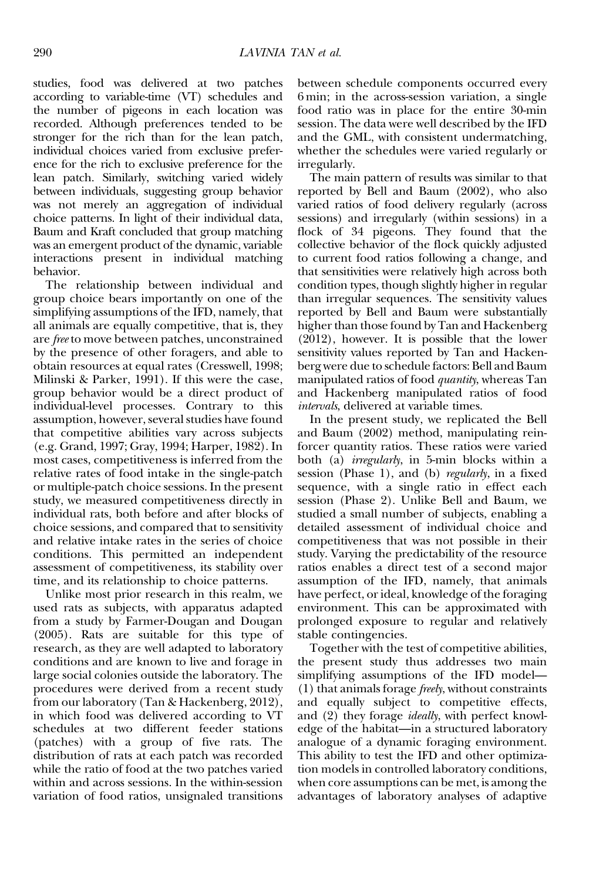studies, food was delivered at two patches according to variable-time (VT) schedules and the number of pigeons in each location was recorded. Although preferences tended to be stronger for the rich than for the lean patch, individual choices varied from exclusive preference for the rich to exclusive preference for the lean patch. Similarly, switching varied widely between individuals, suggesting group behavior was not merely an aggregation of individual choice patterns. In light of their individual data, Baum and Kraft concluded that group matching was an emergent product of the dynamic, variable interactions present in individual matching behavior.

The relationship between individual and group choice bears importantly on one of the simplifying assumptions of the IFD, namely, that all animals are equally competitive, that is, they are free to move between patches, unconstrained by the presence of other foragers, and able to obtain resources at equal rates (Cresswell, 1998; Milinski & Parker, 1991). If this were the case, group behavior would be a direct product of individual-level processes. Contrary to this assumption, however, several studies have found that competitive abilities vary across subjects (e.g. Grand, 1997; Gray, 1994; Harper, 1982). In most cases, competitiveness is inferred from the relative rates of food intake in the single-patch or multiple-patch choice sessions. In the present study, we measured competitiveness directly in individual rats, both before and after blocks of choice sessions, and compared that to sensitivity and relative intake rates in the series of choice conditions. This permitted an independent assessment of competitiveness, its stability over time, and its relationship to choice patterns.

Unlike most prior research in this realm, we used rats as subjects, with apparatus adapted from a study by Farmer-Dougan and Dougan (2005). Rats are suitable for this type of research, as they are well adapted to laboratory conditions and are known to live and forage in large social colonies outside the laboratory. The procedures were derived from a recent study from our laboratory (Tan & Hackenberg, 2012), in which food was delivered according to VT schedules at two different feeder stations (patches) with a group of five rats. The distribution of rats at each patch was recorded while the ratio of food at the two patches varied within and across sessions. In the within-session variation of food ratios, unsignaled transitions

between schedule components occurred every 6 min; in the across-session variation, a single food ratio was in place for the entire 30-min session. The data were well described by the IFD and the GML, with consistent undermatching, whether the schedules were varied regularly or irregularly.

The main pattern of results was similar to that reported by Bell and Baum (2002), who also varied ratios of food delivery regularly (across sessions) and irregularly (within sessions) in a flock of 34 pigeons. They found that the collective behavior of the flock quickly adjusted to current food ratios following a change, and that sensitivities were relatively high across both condition types, though slightly higher in regular than irregular sequences. The sensitivity values reported by Bell and Baum were substantially higher than those found by Tan and Hackenberg (2012), however. It is possible that the lower sensitivity values reported by Tan and Hackenberg were due to schedule factors: Bell and Baum manipulated ratios of food quantity, whereas Tan and Hackenberg manipulated ratios of food intervals, delivered at variable times.

In the present study, we replicated the Bell and Baum (2002) method, manipulating reinforcer quantity ratios. These ratios were varied both (a) *irregularly*, in 5-min blocks within a session (Phase 1), and (b) *regularly*, in a fixed sequence, with a single ratio in effect each session (Phase 2). Unlike Bell and Baum, we studied a small number of subjects, enabling a detailed assessment of individual choice and competitiveness that was not possible in their study. Varying the predictability of the resource ratios enables a direct test of a second major assumption of the IFD, namely, that animals have perfect, or ideal, knowledge of the foraging environment. This can be approximated with prolonged exposure to regular and relatively stable contingencies.

Together with the test of competitive abilities, the present study thus addresses two main simplifying assumptions of the IFD model—  $(1)$  that animals forage *freely*, without constraints and equally subject to competitive effects, and (2) they forage ideally, with perfect knowledge of the habitat—in a structured laboratory analogue of a dynamic foraging environment. This ability to test the IFD and other optimization models in controlled laboratory conditions, when core assumptions can be met, is among the advantages of laboratory analyses of adaptive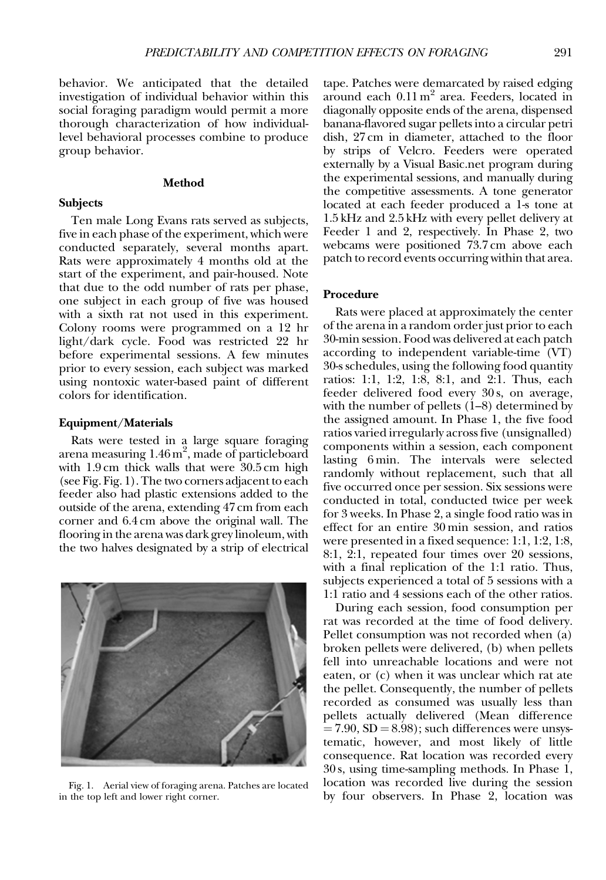behavior. We anticipated that the detailed investigation of individual behavior within this social foraging paradigm would permit a more thorough characterization of how individuallevel behavioral processes combine to produce group behavior.

## Method

### Subjects

Ten male Long Evans rats served as subjects, five in each phase of the experiment, which were conducted separately, several months apart. Rats were approximately 4 months old at the start of the experiment, and pair-housed. Note that due to the odd number of rats per phase, one subject in each group of five was housed with a sixth rat not used in this experiment. Colony rooms were programmed on a 12 hr light/dark cycle. Food was restricted 22 hr before experimental sessions. A few minutes prior to every session, each subject was marked using nontoxic water-based paint of different colors for identification.

# Equipment/Materials

Rats were tested in a large square foraging arena measuring  $1.46\,\mathrm{m}^2$ , made of particleboard with 1.9 cm thick walls that were 30.5 cm high (see Fig. Fig. 1). The two corners adjacent to each feeder also had plastic extensions added to the outside of the arena, extending 47 cm from each corner and 6.4 cm above the original wall. The flooring in the arena was dark grey linoleum, with the two halves designated by a strip of electrical



Fig. 1. Aerial view of foraging arena. Patches are located in the top left and lower right corner.

tape. Patches were demarcated by raised edging around each  $0.11 \text{ m}^2$  area. Feeders, located in diagonally opposite ends of the arena, dispensed banana-flavored sugar pellets into a circular petri dish, 27 cm in diameter, attached to the floor by strips of Velcro. Feeders were operated externally by a Visual Basic.net program during the experimental sessions, and manually during the competitive assessments. A tone generator located at each feeder produced a 1-s tone at 1.5 kHz and 2.5 kHz with every pellet delivery at Feeder 1 and 2, respectively. In Phase 2, two webcams were positioned 73.7 cm above each patch to record events occurring within that area.

### Procedure

Rats were placed at approximately the center of the arena in a random order just prior to each 30-min session. Food was delivered at each patch according to independent variable-time (VT) 30-s schedules, using the following food quantity ratios: 1:1, 1:2, 1:8, 8:1, and 2:1. Thus, each feeder delivered food every 30 s, on average, with the number of pellets (1–8) determined by the assigned amount. In Phase 1, the five food ratios varied irregularly across five (unsignalled) components within a session, each component lasting 6 min. The intervals were selected randomly without replacement, such that all five occurred once per session. Six sessions were conducted in total, conducted twice per week for 3 weeks. In Phase 2, a single food ratio was in effect for an entire 30 min session, and ratios were presented in a fixed sequence: 1:1, 1:2, 1:8, 8:1, 2:1, repeated four times over 20 sessions, with a final replication of the 1:1 ratio. Thus, subjects experienced a total of 5 sessions with a 1:1 ratio and 4 sessions each of the other ratios.

During each session, food consumption per rat was recorded at the time of food delivery. Pellet consumption was not recorded when (a) broken pellets were delivered, (b) when pellets fell into unreachable locations and were not eaten, or (c) when it was unclear which rat ate the pellet. Consequently, the number of pellets recorded as consumed was usually less than pellets actually delivered (Mean difference  $= 7.90, SD = 8.98$ ; such differences were unsystematic, however, and most likely of little consequence. Rat location was recorded every 30 s, using time-sampling methods. In Phase 1, location was recorded live during the session by four observers. In Phase 2, location was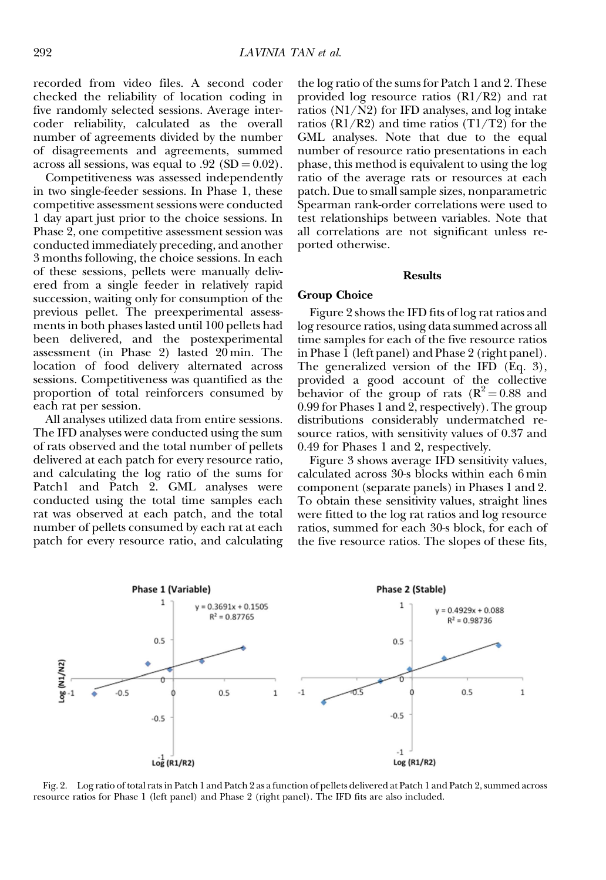recorded from video files. A second coder checked the reliability of location coding in five randomly selected sessions. Average intercoder reliability, calculated as the overall number of agreements divided by the number of disagreements and agreements, summed across all sessions, was equal to  $.92$  (SD = 0.02).

Competitiveness was assessed independently in two single-feeder sessions. In Phase 1, these competitive assessment sessions were conducted 1 day apart just prior to the choice sessions. In Phase 2, one competitive assessment session was conducted immediately preceding, and another 3 months following, the choice sessions. In each of these sessions, pellets were manually delivered from a single feeder in relatively rapid succession, waiting only for consumption of the previous pellet. The preexperimental assessments in both phases lasted until 100 pellets had been delivered, and the postexperimental assessment (in Phase 2) lasted 20 min. The location of food delivery alternated across sessions. Competitiveness was quantified as the proportion of total reinforcers consumed by each rat per session.

All analyses utilized data from entire sessions. The IFD analyses were conducted using the sum of rats observed and the total number of pellets delivered at each patch for every resource ratio, and calculating the log ratio of the sums for Patch1 and Patch 2. GML analyses were conducted using the total time samples each rat was observed at each patch, and the total number of pellets consumed by each rat at each patch for every resource ratio, and calculating the log ratio of the sums for Patch 1 and 2. These provided log resource ratios (R1/R2) and rat ratios (N1/N2) for IFD analyses, and log intake ratios ( $\frac{R1}{R2}$ ) and time ratios (T1/T2) for the GML analyses. Note that due to the equal number of resource ratio presentations in each phase, this method is equivalent to using the log ratio of the average rats or resources at each patch. Due to small sample sizes, nonparametric Spearman rank-order correlations were used to test relationships between variables. Note that all correlations are not significant unless reported otherwise.

### Results

# Group Choice

Figure 2 shows the IFD fits of log rat ratios and log resource ratios, using data summed across all time samples for each of the five resource ratios in Phase 1 (left panel) and Phase 2 (right panel). The generalized version of the IFD (Eq. 3), provided a good account of the collective behavior of the group of rats  $(R^2 = 0.88$  and 0.99 for Phases 1 and 2, respectively). The group distributions considerably undermatched resource ratios, with sensitivity values of 0.37 and 0.49 for Phases 1 and 2, respectively.

Figure 3 shows average IFD sensitivity values, calculated across 30-s blocks within each 6 min component (separate panels) in Phases 1 and 2. To obtain these sensitivity values, straight lines were fitted to the log rat ratios and log resource ratios, summed for each 30-s block, for each of the five resource ratios. The slopes of these fits,



Fig. 2. Log ratio of total rats in Patch 1 and Patch 2 as a function of pellets delivered at Patch 1 and Patch 2, summed across resource ratios for Phase 1 (left panel) and Phase 2 (right panel). The IFD fits are also included.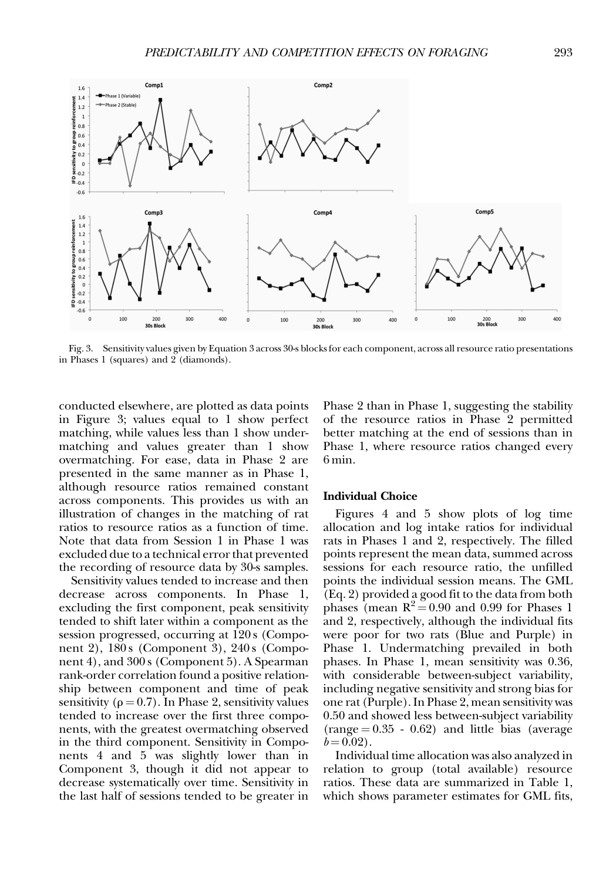

Fig. 3. Sensitivity values given by Equation 3 across 30-s blocks for each component, across all resource ratio presentations in Phases 1 (squares) and 2 (diamonds).

conducted elsewhere, are plotted as data points in Figure 3; values equal to 1 show perfect matching, while values less than 1 show undermatching and values greater than 1 show overmatching. For ease, data in Phase 2 are presented in the same manner as in Phase 1, although resource ratios remained constant across components. This provides us with an illustration of changes in the matching of rat ratios to resource ratios as a function of time. Note that data from Session 1 in Phase 1 was excluded due to a technical error that prevented the recording of resource data by 30-s samples.

Sensitivity values tended to increase and then decrease across components. In Phase 1, excluding the first component, peak sensitivity tended to shift later within a component as the session progressed, occurring at 120 s (Component 2), 180 s (Component 3), 240 s (Component 4), and 300 s (Component 5). A Spearman rank-order correlation found a positive relationship between component and time of peak sensitivity ( $\rho = 0.7$ ). In Phase 2, sensitivity values tended to increase over the first three components, with the greatest overmatching observed in the third component. Sensitivity in Components 4 and 5 was slightly lower than in Component 3, though it did not appear to decrease systematically over time. Sensitivity in the last half of sessions tended to be greater in

Phase 2 than in Phase 1, suggesting the stability of the resource ratios in Phase 2 permitted better matching at the end of sessions than in Phase 1, where resource ratios changed every 6 min.

## Individual Choice

Figures 4 and 5 show plots of log time allocation and log intake ratios for individual rats in Phases 1 and 2, respectively. The filled points represent the mean data, summed across sessions for each resource ratio, the unfilled points the individual session means. The GML (Eq. 2) provided a good fit to the data from both phases (mean  $R^2 = 0.90$  and 0.99 for Phases 1 and 2, respectively, although the individual fits were poor for two rats (Blue and Purple) in Phase 1. Undermatching prevailed in both phases. In Phase 1, mean sensitivity was 0.36, with considerable between-subject variability, including negative sensitivity and strong bias for one rat (Purple). In Phase 2, mean sensitivity was 0.50 and showed less between-subject variability  $(range = 0.35 - 0.62)$  and little bias (average  $b = 0.02$ .

Individual time allocation was also analyzed in relation to group (total available) resource ratios. These data are summarized in Table 1, which shows parameter estimates for GML fits,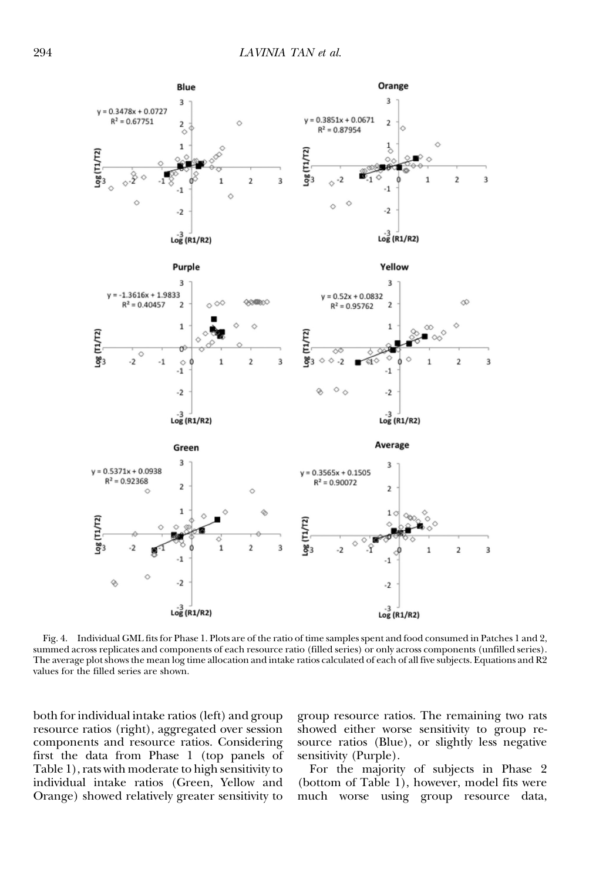

Fig. 4. Individual GML fits for Phase 1. Plots are of the ratio of time samples spent and food consumed in Patches 1 and 2, summed across replicates and components of each resource ratio (filled series) or only across components (unfilled series). The average plot shows the mean log time allocation and intake ratios calculated of each of all five subjects. Equations and R2 values for the filled series are shown.

both for individual intake ratios (left) and group resource ratios (right), aggregated over session components and resource ratios. Considering first the data from Phase 1 (top panels of Table 1), rats with moderate to high sensitivity to individual intake ratios (Green, Yellow and Orange) showed relatively greater sensitivity to

group resource ratios. The remaining two rats showed either worse sensitivity to group resource ratios (Blue), or slightly less negative sensitivity (Purple).

For the majority of subjects in Phase 2 (bottom of Table 1), however, model fits were much worse using group resource data,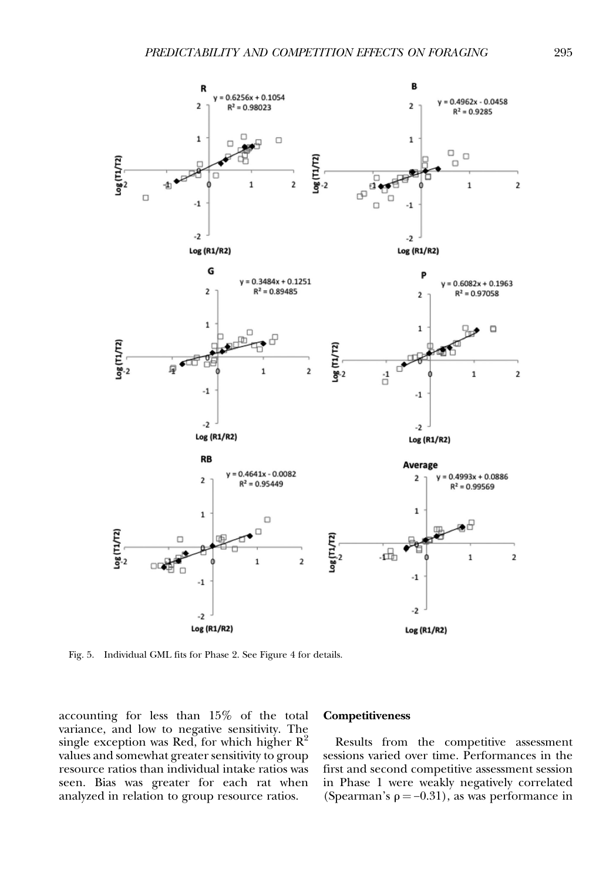

Fig. 5. Individual GML fits for Phase 2. See Figure 4 for details.

accounting for less than 15% of the total variance, and low to negative sensitivity. The single exception was Red, for which higher  $R^2$ values and somewhat greater sensitivity to group resource ratios than individual intake ratios was seen. Bias was greater for each rat when analyzed in relation to group resource ratios.

# **Competitiveness**

Results from the competitive assessment sessions varied over time. Performances in the first and second competitive assessment session in Phase 1 were weakly negatively correlated (Spearman's  $\rho = -0.31$ ), as was performance in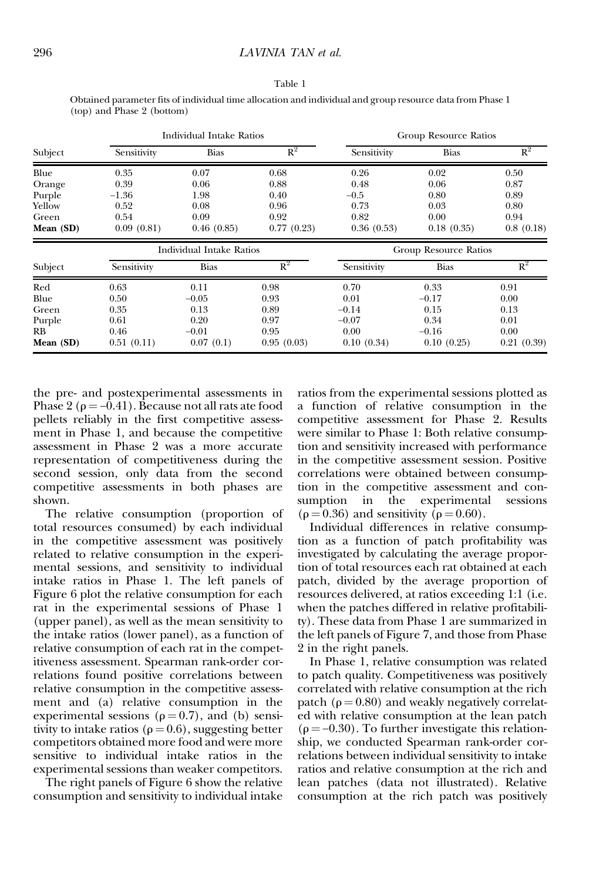#### Table 1

Obtained parameter fits of individual time allocation and individual and group resource data from Phase 1 (top) and Phase 2 (bottom)

| Subject   | Individual Intake Ratios |            |            | Group Resource Ratios |             |           |
|-----------|--------------------------|------------|------------|-----------------------|-------------|-----------|
|           | Sensitivity              | Bias       | $R^2$      | Sensitivity           | <b>Bias</b> | $R^2$     |
| Blue      | 0.35                     | 0.07       | 0.68       | 0.26                  | 0.02        | 0.50      |
| Orange    | 0.39                     | 0.06       | 0.88       | 0.48                  | 0.06        | 0.87      |
| Purple    | $-1.36$                  | 1.98       | 0.40       | $-0.5$                | 0.80        | 0.89      |
| Yellow    | 0.52                     | 0.08       | 0.96       | 0.73                  | 0.03        | 0.80      |
| Green     | 0.54                     | 0.09       | 0.92       | 0.82                  | 0.00        | 0.94      |
| Mean (SD) | 0.09(0.81)               | 0.46(0.85) | 0.77(0.23) | 0.36(0.53)            | 0.18(0.35)  | 0.8(0.18) |
|           | Individual Intake Ratios |            |            | Group Resource Ratios |             |           |
|           |                          |            |            |                       |             |           |
| Subject   | Sensitivity              | Bias       | $R^2$      | Sensitivity           | Bias        | $R^2$     |
| Red       | 0.63                     | 0.11       | 0.98       | 0.70                  | 0.33        | 0.91      |
| Blue      | 0.50                     | $-0.05$    | 0.93       | 0.01                  | $-0.17$     | 0.00      |
| Green     | 0.35                     | 0.13       | 0.89       | $-0.14$               | 0.15        | 0.13      |
| Purple    | 0.61                     | 0.20       | 0.97       | $-0.07$               | 0.34        | 0.01      |
| RB        | 0.46                     | $-0.01$    | 0.95       | 0.00                  | $-0.16$     | 0.00      |

the pre- and postexperimental assessments in Phase 2 ( $\rho = -0.41$ ). Because not all rats ate food pellets reliably in the first competitive assessment in Phase 1, and because the competitive assessment in Phase 2 was a more accurate representation of competitiveness during the second session, only data from the second competitive assessments in both phases are shown.

The relative consumption (proportion of total resources consumed) by each individual in the competitive assessment was positively related to relative consumption in the experimental sessions, and sensitivity to individual intake ratios in Phase 1. The left panels of Figure 6 plot the relative consumption for each rat in the experimental sessions of Phase 1 (upper panel), as well as the mean sensitivity to the intake ratios (lower panel), as a function of relative consumption of each rat in the competitiveness assessment. Spearman rank-order correlations found positive correlations between relative consumption in the competitive assessment and (a) relative consumption in the experimental sessions ( $\rho = 0.7$ ), and (b) sensitivity to intake ratios ( $\rho = 0.6$ ), suggesting better competitors obtained more food and were more sensitive to individual intake ratios in the experimental sessions than weaker competitors.

The right panels of Figure 6 show the relative consumption and sensitivity to individual intake ratios from the experimental sessions plotted as a function of relative consumption in the competitive assessment for Phase 2. Results were similar to Phase 1: Both relative consumption and sensitivity increased with performance in the competitive assessment session. Positive correlations were obtained between consumption in the competitive assessment and consumption in the experimental sessions  $(\rho = 0.36)$  and sensitivity  $(\rho = 0.60)$ .

Individual differences in relative consumption as a function of patch profitability was investigated by calculating the average proportion of total resources each rat obtained at each patch, divided by the average proportion of resources delivered, at ratios exceeding 1:1 (i.e. when the patches differed in relative profitability). These data from Phase 1 are summarized in the left panels of Figure 7, and those from Phase 2 in the right panels.

In Phase 1, relative consumption was related to patch quality. Competitiveness was positively correlated with relative consumption at the rich patch ( $\rho$  = 0.80) and weakly negatively correlated with relative consumption at the lean patch  $(p = -0.30)$ . To further investigate this relationship, we conducted Spearman rank-order correlations between individual sensitivity to intake ratios and relative consumption at the rich and lean patches (data not illustrated). Relative consumption at the rich patch was positively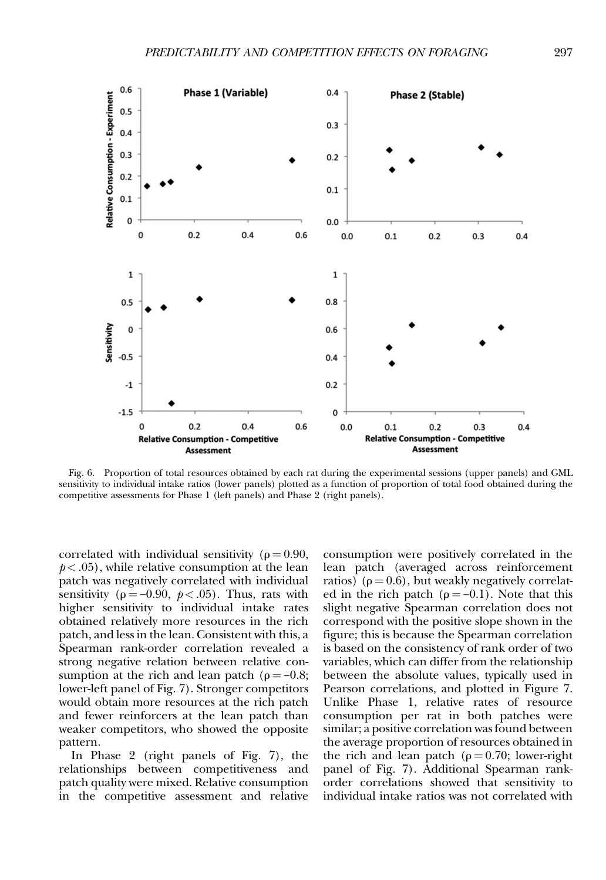

Fig. 6. Proportion of total resources obtained by each rat during the experimental sessions (upper panels) and GML sensitivity to individual intake ratios (lower panels) plotted as a function of proportion of total food obtained during the competitive assessments for Phase 1 (left panels) and Phase 2 (right panels).

correlated with individual sensitivity ( $\rho = 0.90$ ,  $p < .05$ ), while relative consumption at the lean patch was negatively correlated with individual sensitivity ( $\rho = -0.90, \ p < .05$ ). Thus, rats with higher sensitivity to individual intake rates obtained relatively more resources in the rich patch, and less in the lean. Consistent with this, a Spearman rank-order correlation revealed a strong negative relation between relative consumption at the rich and lean patch ( $\rho = -0.8$ ; lower-left panel of Fig. 7). Stronger competitors would obtain more resources at the rich patch and fewer reinforcers at the lean patch than weaker competitors, who showed the opposite pattern.

In Phase 2 (right panels of Fig. 7), the relationships between competitiveness and patch quality were mixed. Relative consumption in the competitive assessment and relative

consumption were positively correlated in the lean patch (averaged across reinforcement ratios) ( $\rho = 0.6$ ), but weakly negatively correlated in the rich patch ( $\rho = -0.1$ ). Note that this slight negative Spearman correlation does not correspond with the positive slope shown in the figure; this is because the Spearman correlation is based on the consistency of rank order of two variables, which can differ from the relationship between the absolute values, typically used in Pearson correlations, and plotted in Figure 7. Unlike Phase 1, relative rates of resource consumption per rat in both patches were similar; a positive correlation was found between the average proportion of resources obtained in the rich and lean patch ( $\rho = 0.70$ ; lower-right panel of Fig. 7). Additional Spearman rankorder correlations showed that sensitivity to individual intake ratios was not correlated with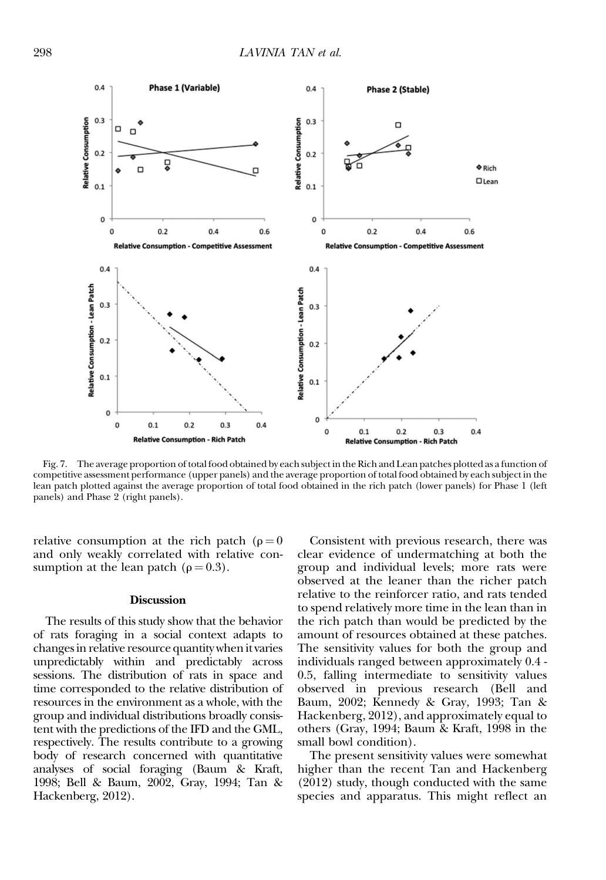

Fig. 7. The average proportion of total food obtained by each subject in the Rich and Lean patches plotted as a function of competitive assessment performance (upper panels) and the average proportion of total food obtained by each subject in the lean patch plotted against the average proportion of total food obtained in the rich patch (lower panels) for Phase 1 (left panels) and Phase 2 (right panels).

relative consumption at the rich patch ( $\rho = 0$ and only weakly correlated with relative consumption at the lean patch ( $\rho = 0.3$ ).

### **Discussion**

The results of this study show that the behavior of rats foraging in a social context adapts to changes in relative resource quantity when it varies unpredictably within and predictably across sessions. The distribution of rats in space and time corresponded to the relative distribution of resources in the environment as a whole, with the group and individual distributions broadly consistent with the predictions of the IFD and the GML, respectively. The results contribute to a growing body of research concerned with quantitative analyses of social foraging (Baum & Kraft, 1998; Bell & Baum, 2002, Gray, 1994; Tan & Hackenberg, 2012).

Consistent with previous research, there was clear evidence of undermatching at both the group and individual levels; more rats were observed at the leaner than the richer patch relative to the reinforcer ratio, and rats tended to spend relatively more time in the lean than in the rich patch than would be predicted by the amount of resources obtained at these patches. The sensitivity values for both the group and individuals ranged between approximately 0.4 - 0.5, falling intermediate to sensitivity values observed in previous research (Bell and Baum, 2002; Kennedy & Gray, 1993; Tan & Hackenberg, 2012), and approximately equal to others (Gray, 1994; Baum & Kraft, 1998 in the small bowl condition).

The present sensitivity values were somewhat higher than the recent Tan and Hackenberg (2012) study, though conducted with the same species and apparatus. This might reflect an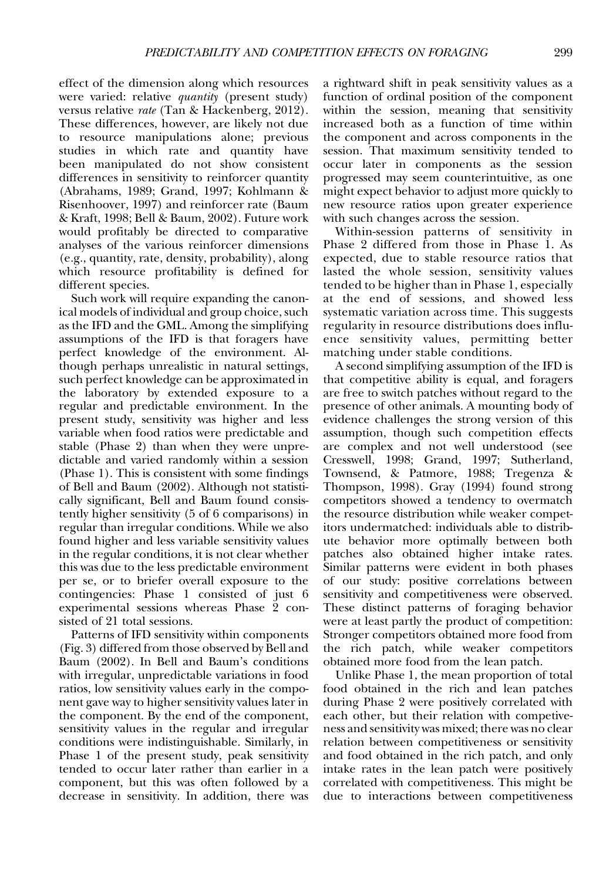effect of the dimension along which resources were varied: relative *quantity* (present study) versus relative rate (Tan & Hackenberg, 2012). These differences, however, are likely not due to resource manipulations alone; previous studies in which rate and quantity have been manipulated do not show consistent differences in sensitivity to reinforcer quantity (Abrahams, 1989; Grand, 1997; Kohlmann & Risenhoover, 1997) and reinforcer rate (Baum & Kraft, 1998; Bell & Baum, 2002). Future work would profitably be directed to comparative analyses of the various reinforcer dimensions (e.g., quantity, rate, density, probability), along which resource profitability is defined for different species.

Such work will require expanding the canonical models of individual and group choice, such as the IFD and the GML. Among the simplifying assumptions of the IFD is that foragers have perfect knowledge of the environment. Although perhaps unrealistic in natural settings, such perfect knowledge can be approximated in the laboratory by extended exposure to a regular and predictable environment. In the present study, sensitivity was higher and less variable when food ratios were predictable and stable (Phase 2) than when they were unpredictable and varied randomly within a session (Phase 1). This is consistent with some findings of Bell and Baum (2002). Although not statistically significant, Bell and Baum found consistently higher sensitivity (5 of 6 comparisons) in regular than irregular conditions. While we also found higher and less variable sensitivity values in the regular conditions, it is not clear whether this was due to the less predictable environment per se, or to briefer overall exposure to the contingencies: Phase 1 consisted of just 6 experimental sessions whereas Phase 2 consisted of 21 total sessions.

Patterns of IFD sensitivity within components (Fig. 3) differed from those observed by Bell and Baum (2002). In Bell and Baum's conditions with irregular, unpredictable variations in food ratios, low sensitivity values early in the component gave way to higher sensitivity values later in the component. By the end of the component, sensitivity values in the regular and irregular conditions were indistinguishable. Similarly, in Phase 1 of the present study, peak sensitivity tended to occur later rather than earlier in a component, but this was often followed by a decrease in sensitivity. In addition, there was

a rightward shift in peak sensitivity values as a function of ordinal position of the component within the session, meaning that sensitivity increased both as a function of time within the component and across components in the session. That maximum sensitivity tended to occur later in components as the session progressed may seem counterintuitive, as one might expect behavior to adjust more quickly to new resource ratios upon greater experience with such changes across the session.

Within-session patterns of sensitivity in Phase 2 differed from those in Phase 1. As expected, due to stable resource ratios that lasted the whole session, sensitivity values tended to be higher than in Phase 1, especially at the end of sessions, and showed less systematic variation across time. This suggests regularity in resource distributions does influence sensitivity values, permitting better matching under stable conditions.

A second simplifying assumption of the IFD is that competitive ability is equal, and foragers are free to switch patches without regard to the presence of other animals. A mounting body of evidence challenges the strong version of this assumption, though such competition effects are complex and not well understood (see Cresswell, 1998; Grand, 1997; Sutherland, Townsend, & Patmore, 1988; Tregenza & Thompson, 1998). Gray (1994) found strong competitors showed a tendency to overmatch the resource distribution while weaker competitors undermatched: individuals able to distribute behavior more optimally between both patches also obtained higher intake rates. Similar patterns were evident in both phases of our study: positive correlations between sensitivity and competitiveness were observed. These distinct patterns of foraging behavior were at least partly the product of competition: Stronger competitors obtained more food from the rich patch, while weaker competitors obtained more food from the lean patch.

Unlike Phase 1, the mean proportion of total food obtained in the rich and lean patches during Phase 2 were positively correlated with each other, but their relation with competiveness and sensitivity was mixed; there was no clear relation between competitiveness or sensitivity and food obtained in the rich patch, and only intake rates in the lean patch were positively correlated with competitiveness. This might be due to interactions between competitiveness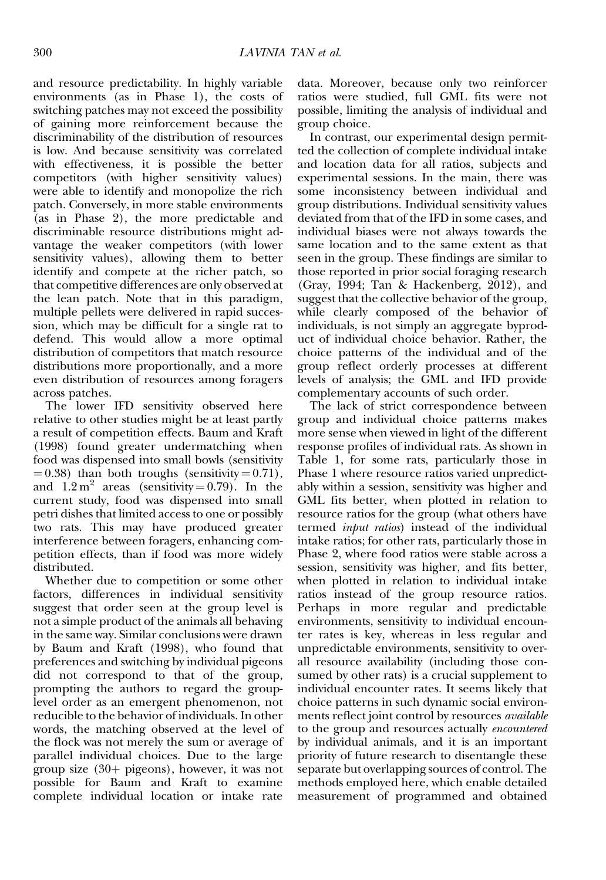and resource predictability. In highly variable environments (as in Phase 1), the costs of switching patches may not exceed the possibility of gaining more reinforcement because the discriminability of the distribution of resources is low. And because sensitivity was correlated with effectiveness, it is possible the better competitors (with higher sensitivity values) were able to identify and monopolize the rich patch. Conversely, in more stable environments (as in Phase 2), the more predictable and discriminable resource distributions might advantage the weaker competitors (with lower sensitivity values), allowing them to better identify and compete at the richer patch, so that competitive differences are only observed at the lean patch. Note that in this paradigm, multiple pellets were delivered in rapid succession, which may be difficult for a single rat to defend. This would allow a more optimal distribution of competitors that match resource distributions more proportionally, and a more even distribution of resources among foragers across patches.

The lower IFD sensitivity observed here relative to other studies might be at least partly a result of competition effects. Baum and Kraft (1998) found greater undermatching when food was dispensed into small bowls (sensitivity  $(0.38)$  than both troughs (sensitivity  $(0.71)$ , and  $1.2 \text{ m}^2$  areas (sensitivity = 0.79). In the current study, food was dispensed into small petri dishes that limited access to one or possibly two rats. This may have produced greater interference between foragers, enhancing competition effects, than if food was more widely distributed.

Whether due to competition or some other factors, differences in individual sensitivity suggest that order seen at the group level is not a simple product of the animals all behaving in the same way. Similar conclusions were drawn by Baum and Kraft (1998), who found that preferences and switching by individual pigeons did not correspond to that of the group, prompting the authors to regard the grouplevel order as an emergent phenomenon, not reducible to the behavior of individuals. In other words, the matching observed at the level of the flock was not merely the sum or average of parallel individual choices. Due to the large group size  $(30+)$  pigeons), however, it was not possible for Baum and Kraft to examine complete individual location or intake rate

data. Moreover, because only two reinforcer ratios were studied, full GML fits were not possible, limiting the analysis of individual and group choice.

In contrast, our experimental design permitted the collection of complete individual intake and location data for all ratios, subjects and experimental sessions. In the main, there was some inconsistency between individual and group distributions. Individual sensitivity values deviated from that of the IFD in some cases, and individual biases were not always towards the same location and to the same extent as that seen in the group. These findings are similar to those reported in prior social foraging research (Gray, 1994; Tan & Hackenberg, 2012), and suggest that the collective behavior of the group, while clearly composed of the behavior of individuals, is not simply an aggregate byproduct of individual choice behavior. Rather, the choice patterns of the individual and of the group reflect orderly processes at different levels of analysis; the GML and IFD provide complementary accounts of such order.

The lack of strict correspondence between group and individual choice patterns makes more sense when viewed in light of the different response profiles of individual rats. As shown in Table 1, for some rats, particularly those in Phase 1 where resource ratios varied unpredictably within a session, sensitivity was higher and GML fits better, when plotted in relation to resource ratios for the group (what others have termed input ratios) instead of the individual intake ratios; for other rats, particularly those in Phase 2, where food ratios were stable across a session, sensitivity was higher, and fits better, when plotted in relation to individual intake ratios instead of the group resource ratios. Perhaps in more regular and predictable environments, sensitivity to individual encounter rates is key, whereas in less regular and unpredictable environments, sensitivity to overall resource availability (including those consumed by other rats) is a crucial supplement to individual encounter rates. It seems likely that choice patterns in such dynamic social environments reflect joint control by resources *available* to the group and resources actually encountered by individual animals, and it is an important priority of future research to disentangle these separate but overlapping sources of control. The methods employed here, which enable detailed measurement of programmed and obtained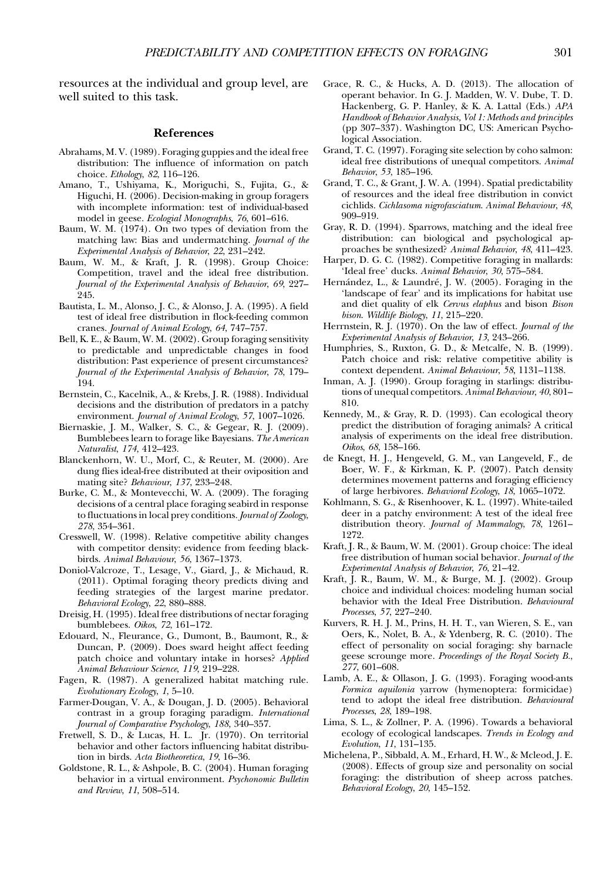resources at the individual and group level, are well suited to this task.

### References

- Abrahams, M. V. (1989). Foraging guppies and the ideal free distribution: The influence of information on patch choice. Ethology, 82, 116–126.
- Amano, T., Ushiyama, K., Moriguchi, S., Fujita, G., & Higuchi, H. (2006). Decision-making in group foragers with incomplete information: test of individual-based model in geese. Ecologial Monographs, 76, 601–616.
- Baum, W. M. (1974). On two types of deviation from the matching law: Bias and undermatching. Journal of the Experimental Analysis of Behavior, 22, 231–242.
- Baum, W. M., & Kraft, J. R. (1998). Group Choice: Competition, travel and the ideal free distribution. Journal of the Experimental Analysis of Behavior, 69, 227– 945.
- Bautista, L. M., Alonso, J. C., & Alonso, J. A. (1995). A field test of ideal free distribution in flock-feeding common cranes. Journal of Animal Ecology, 64, 747–757.
- Bell, K. E., & Baum, W. M. (2002). Group foraging sensitivity to predictable and unpredictable changes in food distribution: Past experience of present circumstances? Journal of the Experimental Analysis of Behavior, 78, 179– 194.
- Bernstein, C., Kacelnik, A., & Krebs, J. R. (1988). Individual decisions and the distribution of predators in a patchy environment. Journal of Animal Ecology, 57, 1007–1026.
- Biernaskie, J. M., Walker, S. C., & Gegear, R. J. (2009). Bumblebees learn to forage like Bayesians. The American Naturalist, 174, 412–423.
- Blanckenhorn, W. U., Morf, C., & Reuter, M. (2000). Are dung flies ideal-free distributed at their oviposition and mating site? Behaviour, 137, 233–248.
- Burke, C. M., & Montevecchi, W. A. (2009). The foraging decisions of a central place foraging seabird in response to fluctuations in local prey conditions. Journal of Zoology, 278, 354–361.
- Cresswell, W. (1998). Relative competitive ability changes with competitor density: evidence from feeding blackbirds. Animal Behaviour, 56, 1367–1373.
- Doniol-Valcroze, T., Lesage, V., Giard, J., & Michaud, R. (2011). Optimal foraging theory predicts diving and feeding strategies of the largest marine predator. Behavioral Ecology, 22, 880–888.
- Dreisig, H. (1995). Ideal free distributions of nectar foraging bumblebees. Oikos, 72, 161–172.
- Edouard, N., Fleurance, G., Dumont, B., Baumont, R., & Duncan, P. (2009). Does sward height affect feeding patch choice and voluntary intake in horses? Applied Animal Behaviour Science, 119, 219–228.
- Fagen, R. (1987). A generalized habitat matching rule. Evolutionary Ecology, 1, 5–10.
- Farmer-Dougan, V. A., & Dougan, J. D. (2005). Behavioral contrast in a group foraging paradigm. International Journal of Comparative Psychology, 188, 340–357.
- Fretwell, S. D., & Lucas, H. L. Jr. (1970). On territorial behavior and other factors influencing habitat distribution in birds. Acta Biotheoretica, 19, 16–36.
- Goldstone, R. L., & Ashpole, B. C. (2004). Human foraging behavior in a virtual environment. Psychonomic Bulletin and Review, 11, 508–514.
- Grace, R. C., & Hucks, A. D. (2013). The allocation of operant behavior. In G. J. Madden, W. V. Dube, T. D. Hackenberg, G. P. Hanley, & K. A. Lattal (Eds.) APA Handbook of Behavior Analysis, Vol 1: Methods and principles (pp 307–337). Washington DC, US: American Psychological Association.
- Grand, T. C. (1997). Foraging site selection by coho salmon: ideal free distributions of unequal competitors. Animal Behavior, 53, 185–196.
- Grand, T. C., & Grant, J. W. A. (1994). Spatial predictability of resources and the ideal free distribution in convict cichlids. Cichlasoma nigrofasciatum. Animal Behaviour, 48, 909–919.
- Gray, R. D. (1994). Sparrows, matching and the ideal free distribution: can biological and psychological approaches be synthesized? Animal Behavior, 48, 411–423.
- Harper, D. G. C. (1982). Competitive foraging in mallards: 'Ideal free' ducks. Animal Behavior, 30, 575–584.
- Hernández, L., & Laundré, J. W. (2005). Foraging in the 'landscape of fear' and its implications for habitat use and diet quality of elk Cervus elaphus and bison Bison bison. Wildlife Biology, 11, 215–220.
- Herrnstein, R. J. (1970). On the law of effect. Journal of the Experimental Analysis of Behavior, 13, 243–266.
- Humphries, S., Ruxton, G. D., & Metcalfe, N. B. (1999). Patch choice and risk: relative competitive ability is context dependent. Animal Behaviour, 58, 1131–1138.
- Inman, A. J. (1990). Group foraging in starlings: distributions of unequal competitors. Animal Behaviour, 40, 801– 810.
- Kennedy, M., & Gray, R. D. (1993). Can ecological theory predict the distribution of foraging animals? A critical analysis of experiments on the ideal free distribution. Oikos, 68, 158–166.
- de Knegt, H. J., Hengeveld, G. M., van Langeveld, F., de Boer, W. F., & Kirkman, K. P. (2007). Patch density determines movement patterns and foraging efficiency of large herbivores. Behavioral Ecology, 18, 1065–1072.
- Kohlmann, S. G., & Risenhoover, K. L. (1997). White-tailed deer in a patchy environment: A test of the ideal free distribution theory. Journal of Mammalogy, 78, 1261– 1272.
- Kraft, J. R., & Baum, W. M. (2001). Group choice: The ideal free distribution of human social behavior. Journal of the Experimental Analysis of Behavior, 76, 21–42.
- Kraft, J. R., Baum, W. M., & Burge, M. J. (2002). Group choice and individual choices: modeling human social behavior with the Ideal Free Distribution. Behavioural Processes, 57, 227–240.
- Kurvers, R. H. J. M., Prins, H. H. T., van Wieren, S. E., van Oers, K., Nolet, B. A., & Ydenberg, R. C. (2010). The effect of personality on social foraging: shy barnacle geese scrounge more. Proceedings of the Royal Society B., 277, 601–608.
- Lamb, A. E., & Ollason, J. G. (1993). Foraging wood-ants Formica aquilonia yarrow (hymenoptera: formicidae) tend to adopt the ideal free distribution. Behavioural Processes, 28, 189–198.
- Lima, S. L., & Zollner, P. A. (1996). Towards a behavioral ecology of ecological landscapes. Trends in Ecology and Evolution, 11, 131–135.
- Michelena, P., Sibbald, A. M., Erhard, H. W., & Mcleod, J. E. (2008). Effects of group size and personality on social foraging: the distribution of sheep across patches. Behavioral Ecology, 20, 145–152.